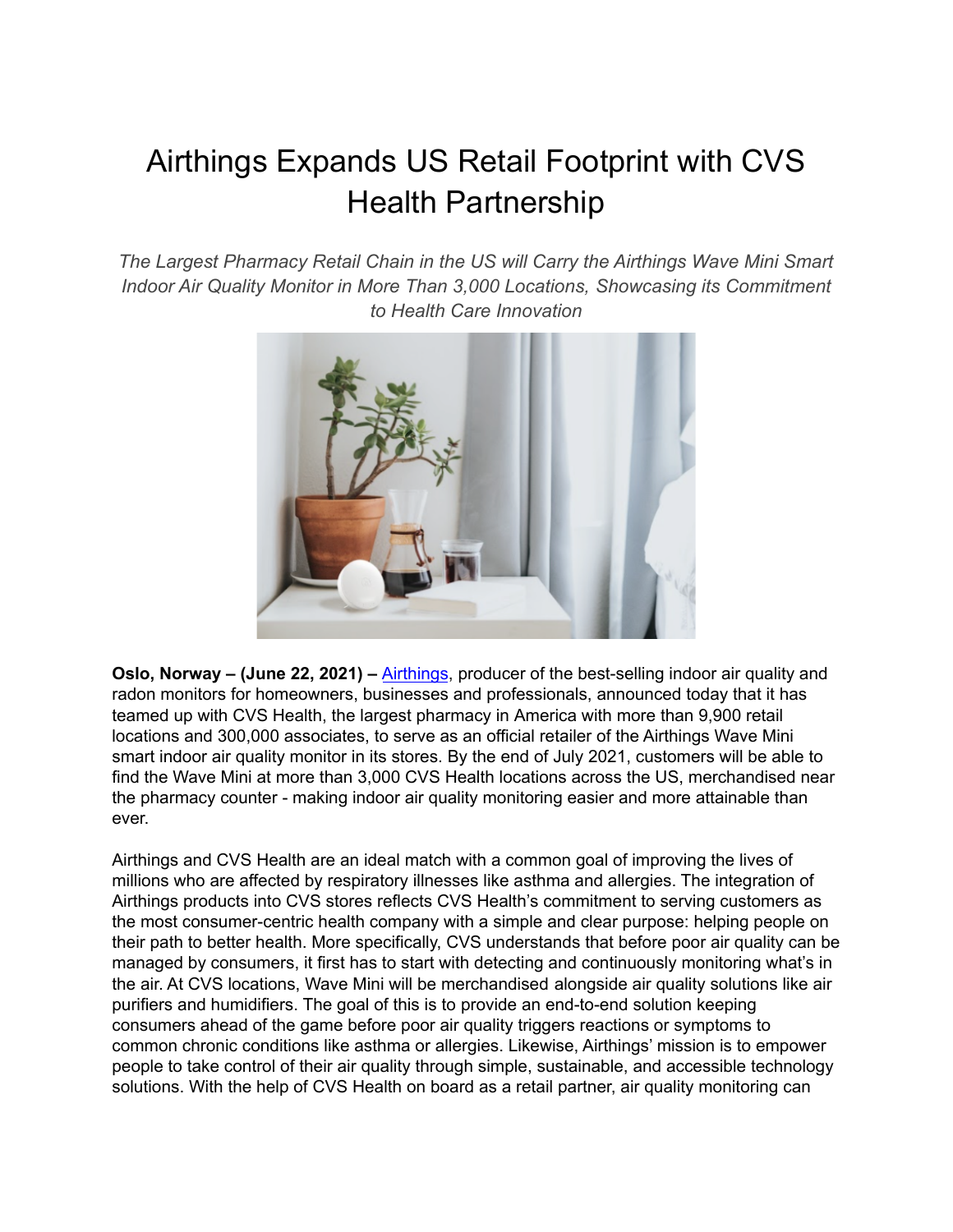# Airthings Expands US Retail Footprint with CVS Health Partnership

*The Largest Pharmacy Retail Chain in the US will Carry the Airthings Wave Mini Smart Indoor Air Quality Monitor in More Than 3,000 Locations, Showcasing its Commitment to Health Care Innovation*



**Oslo, Norway – (June 22, 2021) –** [Airthings](https://airthings.com/), producer of the best-selling indoor air quality and radon monitors for homeowners, businesses and professionals, announced today that it has teamed up with CVS Health, the largest pharmacy in America with more than 9,900 retail locations and 300,000 associates, to serve as an official retailer of the Airthings Wave Mini smart indoor air quality monitor in its stores. By the end of July 2021, customers will be able to find the Wave Mini at more than 3,000 CVS Health locations across the US, merchandised near the pharmacy counter - making indoor air quality monitoring easier and more attainable than ever.

Airthings and CVS Health are an ideal match with a common goal of improving the lives of millions who are affected by respiratory illnesses like asthma and allergies. The integration of Airthings products into CVS stores reflects CVS Health's commitment to serving customers as the most consumer-centric health company with a simple and clear purpose: helping people on their path to better health. More specifically, CVS understands that before poor air quality can be managed by consumers, it first has to start with detecting and continuously monitoring what's in the air. At CVS locations, Wave Mini will be merchandised alongside air quality solutions like air purifiers and humidifiers. The goal of this is to provide an end-to-end solution keeping consumers ahead of the game before poor air quality triggers reactions or symptoms to common chronic conditions like asthma or allergies. Likewise, Airthings' mission is to empower people to take control of their air quality through simple, sustainable, and accessible technology solutions. With the help of CVS Health on board as a retail partner, air quality monitoring can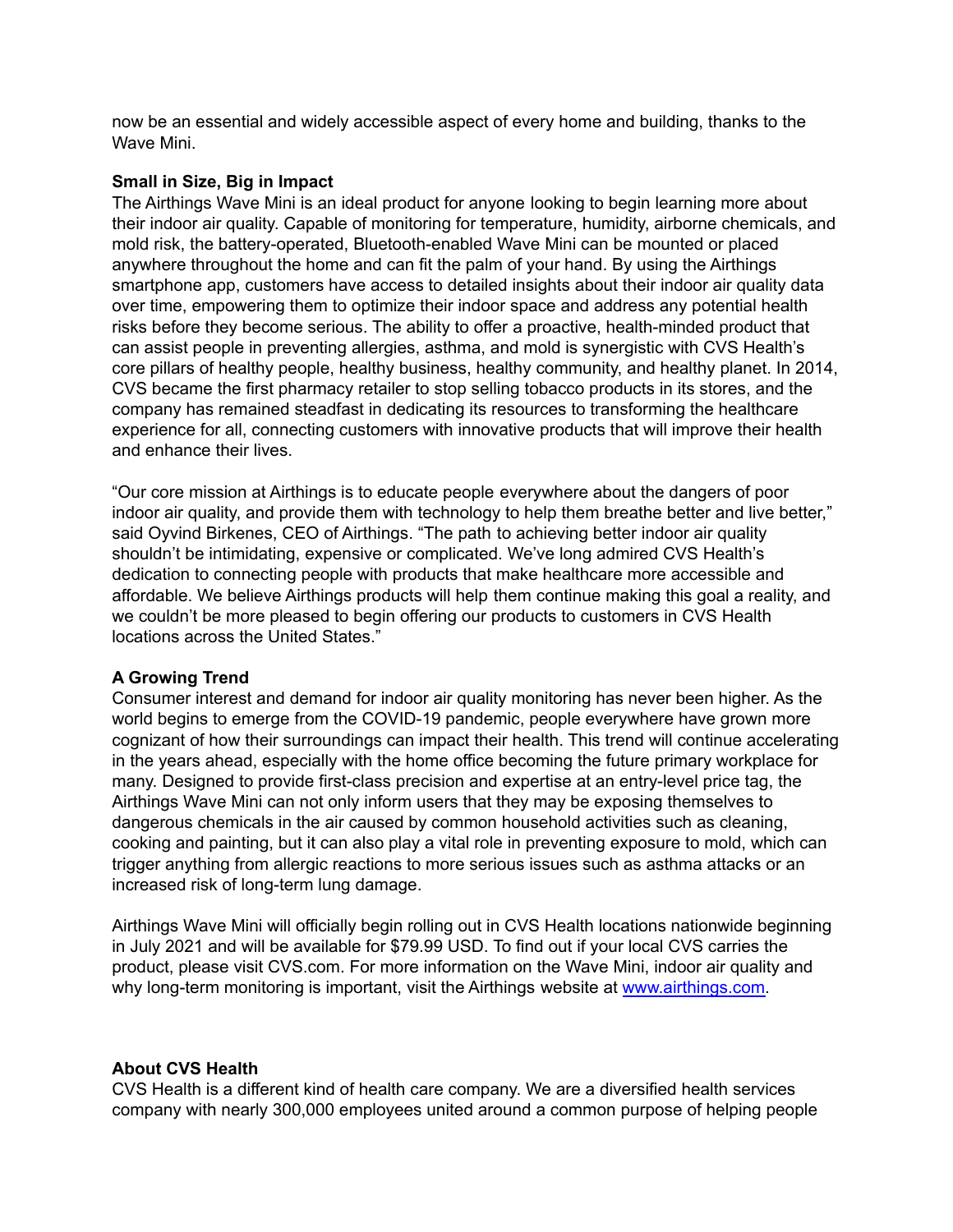now be an essential and widely accessible aspect of every home and building, thanks to the Wave Mini.

#### **Small in Size, Big in Impact**

The Airthings Wave Mini is an ideal product for anyone looking to begin learning more about their indoor air quality. Capable of monitoring for temperature, humidity, airborne chemicals, and mold risk, the battery-operated, Bluetooth-enabled Wave Mini can be mounted or placed anywhere throughout the home and can fit the palm of your hand. By using the Airthings smartphone app, customers have access to detailed insights about their indoor air quality data over time, empowering them to optimize their indoor space and address any potential health risks before they become serious. The ability to offer a proactive, health-minded product that can assist people in preventing allergies, asthma, and mold is synergistic with CVS Health's core pillars of healthy people, healthy business, healthy community, and healthy planet. In 2014, CVS became the first pharmacy retailer to stop selling tobacco products in its stores, and the company has remained steadfast in dedicating its resources to transforming the healthcare experience for all, connecting customers with innovative products that will improve their health and enhance their lives.

"Our core mission at Airthings is to educate people everywhere about the dangers of poor indoor air quality, and provide them with technology to help them breathe better and live better," said Oyvind Birkenes, CEO of Airthings. "The path to achieving better indoor air quality shouldn't be intimidating, expensive or complicated. We've long admired CVS Health's dedication to connecting people with products that make healthcare more accessible and affordable. We believe Airthings products will help them continue making this goal a reality, and we couldn't be more pleased to begin offering our products to customers in CVS Health locations across the United States."

# **A Growing Trend**

Consumer interest and demand for indoor air quality monitoring has never been higher. As the world begins to emerge from the COVID-19 pandemic, people everywhere have grown more cognizant of how their surroundings can impact their health. This trend will continue accelerating in the years ahead, especially with the home office becoming the future primary workplace for many. Designed to provide first-class precision and expertise at an entry-level price tag, the Airthings Wave Mini can not only inform users that they may be exposing themselves to dangerous chemicals in the air caused by common household activities such as cleaning, cooking and painting, but it can also play a vital role in preventing exposure to mold, which can trigger anything from allergic reactions to more serious issues such as asthma attacks or an increased risk of long-term lung damage.

Airthings Wave Mini will officially begin rolling out in CVS Health locations nationwide beginning in July 2021 and will be available for \$79.99 USD. To find out if your local CVS carries the product, please visit CVS.com. For more information on the Wave Mini, indoor air quality and why long-term monitoring is important, visit the Airthings website at [www.airthings.com.](http://www.airthings.com)

#### **About CVS Health**

CVS Health is a different kind of health care company. We are a diversified health services company with nearly 300,000 employees united around a common purpose of helping people